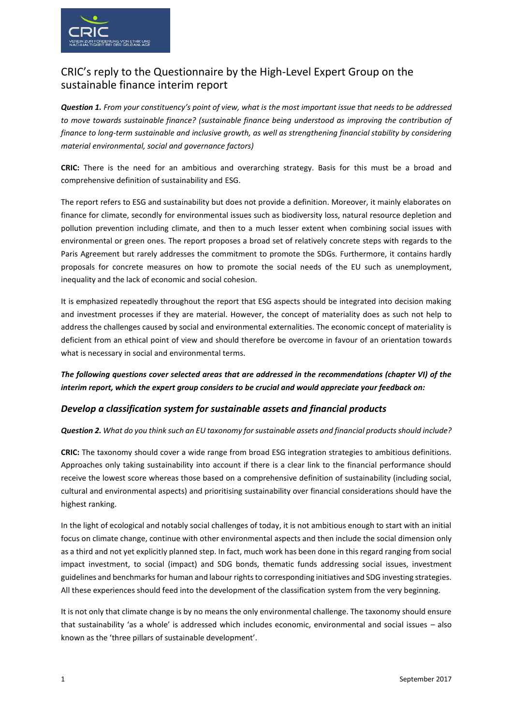

# CRIC's reply to the Questionnaire by the High-Level Expert Group on the sustainable finance interim report

*Question 1. From your constituency's point of view, what is the most important issue that needs to be addressed to move towards sustainable finance? (sustainable finance being understood as improving the contribution of finance to long-term sustainable and inclusive growth, as well as strengthening financial stability by considering material environmental, social and governance factors)*

**CRIC:** There is the need for an ambitious and overarching strategy. Basis for this must be a broad and comprehensive definition of sustainability and ESG.

The report refers to ESG and sustainability but does not provide a definition. Moreover, it mainly elaborates on finance for climate, secondly for environmental issues such as biodiversity loss, natural resource depletion and pollution prevention including climate, and then to a much lesser extent when combining social issues with environmental or green ones. The report proposes a broad set of relatively concrete steps with regards to the Paris Agreement but rarely addresses the commitment to promote the SDGs. Furthermore, it contains hardly proposals for concrete measures on how to promote the social needs of the EU such as unemployment, inequality and the lack of economic and social cohesion.

It is emphasized repeatedly throughout the report that ESG aspects should be integrated into decision making and investment processes if they are material. However, the concept of materiality does as such not help to address the challenges caused by social and environmental externalities. The economic concept of materiality is deficient from an ethical point of view and should therefore be overcome in favour of an orientation towards what is necessary in social and environmental terms.

*The following questions cover selected areas that are addressed in the recommendations (chapter VI) of the interim report, which the expert group considers to be crucial and would appreciate your feedback on:* 

## *Develop a classification system for sustainable assets and financial products*

#### *Question 2. What do you think such an EU taxonomy for sustainable assets and financial products should include?*

**CRIC:** The taxonomy should cover a wide range from broad ESG integration strategies to ambitious definitions. Approaches only taking sustainability into account if there is a clear link to the financial performance should receive the lowest score whereas those based on a comprehensive definition of sustainability (including social, cultural and environmental aspects) and prioritising sustainability over financial considerations should have the highest ranking.

In the light of ecological and notably social challenges of today, it is not ambitious enough to start with an initial focus on climate change, continue with other environmental aspects and then include the social dimension only as a third and not yet explicitly planned step. In fact, much work has been done in this regard ranging from social impact investment, to social (impact) and SDG bonds, thematic funds addressing social issues, investment guidelines and benchmarks for human and labour rights to corresponding initiatives and SDG investing strategies. All these experiences should feed into the development of the classification system from the very beginning.

It is not only that climate change is by no means the only environmental challenge. The taxonomy should ensure that sustainability 'as a whole' is addressed which includes economic, environmental and social issues – also known as the 'three pillars of sustainable development'.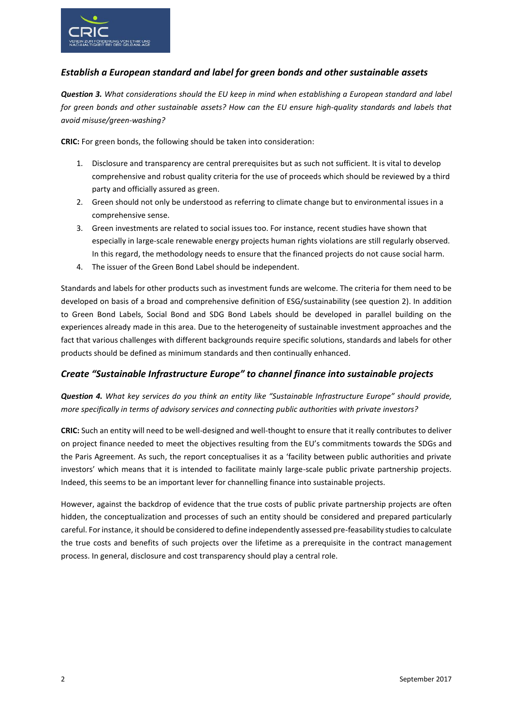

## *Establish a European standard and label for green bonds and other sustainable assets*

*Question 3. What considerations should the EU keep in mind when establishing a European standard and label for green bonds and other sustainable assets? How can the EU ensure high-quality standards and labels that avoid misuse/green-washing?*

**CRIC:** For green bonds, the following should be taken into consideration:

- 1. Disclosure and transparency are central prerequisites but as such not sufficient. It is vital to develop comprehensive and robust quality criteria for the use of proceeds which should be reviewed by a third party and officially assured as green.
- 2. Green should not only be understood as referring to climate change but to environmental issues in a comprehensive sense.
- 3. Green investments are related to social issues too. For instance, recent studies have shown that especially in large-scale renewable energy projects human rights violations are still regularly observed. In this regard, the methodology needs to ensure that the financed projects do not cause social harm.
- 4. The issuer of the Green Bond Label should be independent.

Standards and labels for other products such as investment funds are welcome. The criteria for them need to be developed on basis of a broad and comprehensive definition of ESG/sustainability (see question 2). In addition to Green Bond Labels, Social Bond and SDG Bond Labels should be developed in parallel building on the experiences already made in this area. Due to the heterogeneity of sustainable investment approaches and the fact that various challenges with different backgrounds require specific solutions, standards and labels for other products should be defined as minimum standards and then continually enhanced.

## *Create "Sustainable Infrastructure Europe" to channel finance into sustainable projects*

*Question 4. What key services do you think an entity like "Sustainable Infrastructure Europe" should provide, more specifically in terms of advisory services and connecting public authorities with private investors?*

**CRIC:** Such an entity will need to be well-designed and well-thought to ensure that it really contributes to deliver on project finance needed to meet the objectives resulting from the EU's commitments towards the SDGs and the Paris Agreement. As such, the report conceptualises it as a 'facility between public authorities and private investors' which means that it is intended to facilitate mainly large-scale public private partnership projects. Indeed, this seems to be an important lever for channelling finance into sustainable projects.

However, against the backdrop of evidence that the true costs of public private partnership projects are often hidden, the conceptualization and processes of such an entity should be considered and prepared particularly careful. For instance, it should be considered to define independently assessed pre-feasability studies to calculate the true costs and benefits of such projects over the lifetime as a prerequisite in the contract management process. In general, disclosure and cost transparency should play a central role.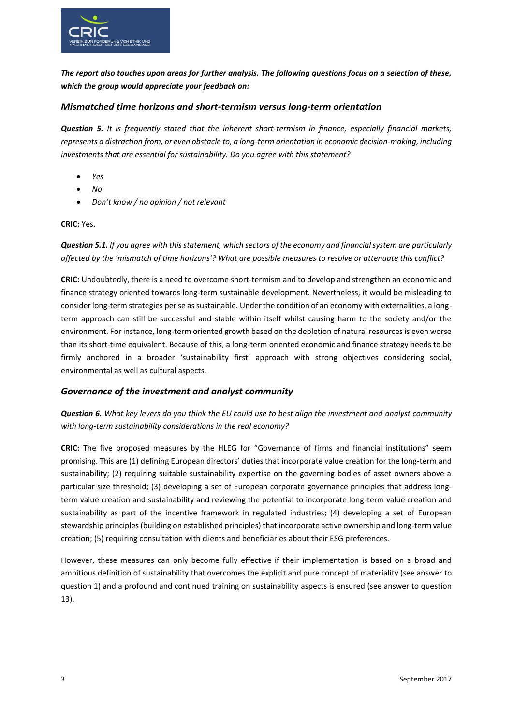

*The report also touches upon areas for further analysis. The following questions focus on a selection of these, which the group would appreciate your feedback on:*

### *Mismatched time horizons and short-termism versus long-term orientation*

*Question 5. It is frequently stated that the inherent short-termism in finance, especially financial markets, represents a distraction from, or even obstacle to, a long-term orientation in economic decision-making, including investments that are essential for sustainability. Do you agree with this statement?*

- *Yes*
- *No*
- *Don't know / no opinion / not relevant*

#### **CRIC:** Yes.

*Question 5.1. If you agree with this statement, which sectors of the economy and financial system are particularly affected by the 'mismatch of time horizons'? What are possible measures to resolve or attenuate this conflict?*

**CRIC:** Undoubtedly, there is a need to overcome short-termism and to develop and strengthen an economic and finance strategy oriented towards long-term sustainable development. Nevertheless, it would be misleading to consider long-term strategies per se as sustainable. Under the condition of an economy with externalities, a longterm approach can still be successful and stable within itself whilst causing harm to the society and/or the environment. For instance, long-term oriented growth based on the depletion of natural resources is even worse than its short-time equivalent. Because of this, a long-term oriented economic and finance strategy needs to be firmly anchored in a broader 'sustainability first' approach with strong objectives considering social, environmental as well as cultural aspects.

#### *Governance of the investment and analyst community*

*Question 6. What key levers do you think the EU could use to best align the investment and analyst community with long-term sustainability considerations in the real economy?*

**CRIC:** The five proposed measures by the HLEG for "Governance of firms and financial institutions" seem promising. This are (1) defining European directors' duties that incorporate value creation for the long-term and sustainability; (2) requiring suitable sustainability expertise on the governing bodies of asset owners above a particular size threshold; (3) developing a set of European corporate governance principles that address longterm value creation and sustainability and reviewing the potential to incorporate long-term value creation and sustainability as part of the incentive framework in regulated industries; (4) developing a set of European stewardship principles(building on established principles) that incorporate active ownership and long-term value creation; (5) requiring consultation with clients and beneficiaries about their ESG preferences.

However, these measures can only become fully effective if their implementation is based on a broad and ambitious definition of sustainability that overcomes the explicit and pure concept of materiality (see answer to question 1) and a profound and continued training on sustainability aspects is ensured (see answer to question 13).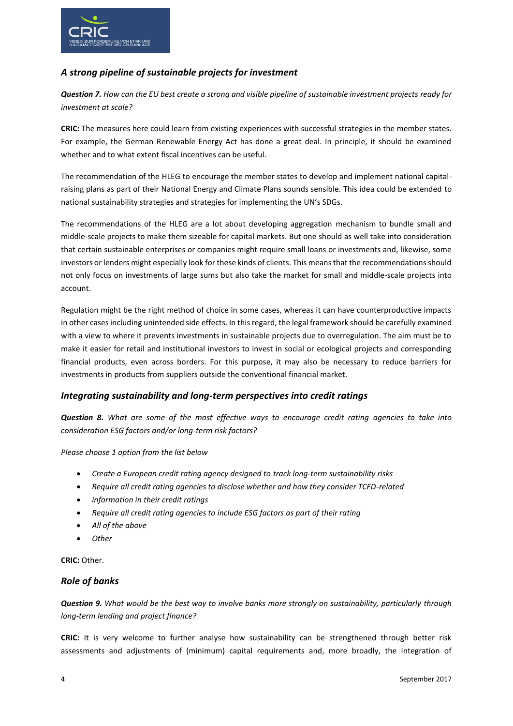

## *A strong pipeline of sustainable projects for investment*

*Question 7. How can the EU best create a strong and visible pipeline of sustainable investment projects ready for investment at scale?*

**CRIC:** The measures here could learn from existing experiences with successful strategies in the member states. For example, the German Renewable Energy Act has done a great deal. In principle, it should be examined whether and to what extent fiscal incentives can be useful.

The recommendation of the HLEG to encourage the member states to develop and implement national capitalraising plans as part of their National Energy and Climate Plans sounds sensible. This idea could be extended to national sustainability strategies and strategies for implementing the UN's SDGs.

The recommendations of the HLEG are a lot about developing aggregation mechanism to bundle small and middle-scale projects to make them sizeable for capital markets. But one should as well take into consideration that certain sustainable enterprises or companies might require small loans or investments and, likewise, some investors or lenders might especially look for these kinds of clients. This means that the recommendations should not only focus on investments of large sums but also take the market for small and middle-scale projects into account.

Regulation might be the right method of choice in some cases, whereas it can have counterproductive impacts in other cases including unintended side effects. In this regard, the legal framework should be carefully examined with a view to where it prevents investments in sustainable projects due to overregulation. The aim must be to make it easier for retail and institutional investors to invest in social or ecological projects and corresponding financial products, even across borders. For this purpose, it may also be necessary to reduce barriers for investments in products from suppliers outside the conventional financial market.

## *Integrating sustainability and long-term perspectives into credit ratings*

*Question 8. What are some of the most effective ways to encourage credit rating agencies to take into consideration ESG factors and/or long-term risk factors?*

*Please choose 1 option from the list below*

- *Create a European credit rating agency designed to track long-term sustainability risks*
- *Require all credit rating agencies to disclose whether and how they consider TCFD-related*
- *information in their credit ratings*
- *Require all credit rating agencies to include ESG factors as part of their rating*
- *All of the above*
- *Other*

**CRIC:** Other.

## *Role of banks*

*Question 9. What would be the best way to involve banks more strongly on sustainability, particularly through long-term lending and project finance?*

**CRIC:** It is very welcome to further analyse how sustainability can be strengthened through better risk assessments and adjustments of (minimum) capital requirements and, more broadly, the integration of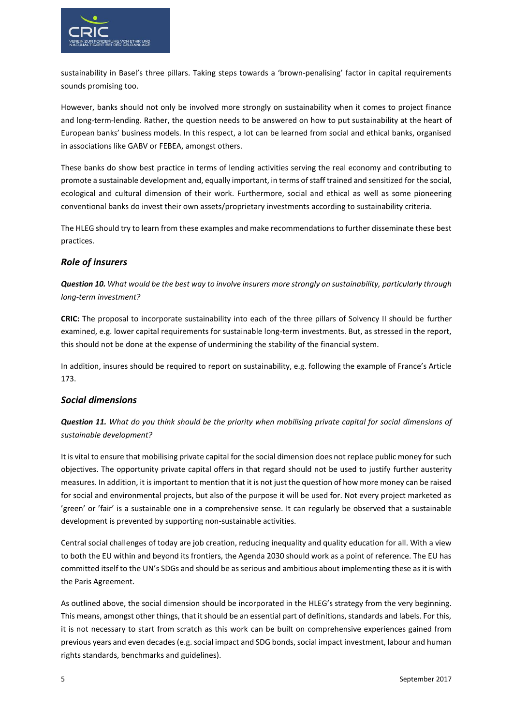

sustainability in Basel's three pillars. Taking steps towards a 'brown-penalising' factor in capital requirements sounds promising too.

However, banks should not only be involved more strongly on sustainability when it comes to project finance and long-term-lending. Rather, the question needs to be answered on how to put sustainability at the heart of European banks' business models. In this respect, a lot can be learned from social and ethical banks, organised in associations like GABV or FEBEA, amongst others.

These banks do show best practice in terms of lending activities serving the real economy and contributing to promote a sustainable development and, equally important, in terms of staff trained and sensitized for the social, ecological and cultural dimension of their work. Furthermore, social and ethical as well as some pioneering conventional banks do invest their own assets/proprietary investments according to sustainability criteria.

The HLEG should try to learn from these examples and make recommendations to further disseminate these best practices.

### *Role of insurers*

*Question 10. What would be the best way to involve insurers more strongly on sustainability, particularly through long-term investment?*

**CRIC:** The proposal to incorporate sustainability into each of the three pillars of Solvency II should be further examined, e.g. lower capital requirements for sustainable long-term investments. But, as stressed in the report, this should not be done at the expense of undermining the stability of the financial system.

In addition, insures should be required to report on sustainability, e.g. following the example of France's Article 173.

#### *Social dimensions*

*Question 11. What do you think should be the priority when mobilising private capital for social dimensions of sustainable development?*

It is vital to ensure that mobilising private capital for the social dimension does not replace public money for such objectives. The opportunity private capital offers in that regard should not be used to justify further austerity measures. In addition, it is important to mention that it is not just the question of how more money can be raised for social and environmental projects, but also of the purpose it will be used for. Not every project marketed as 'green' or 'fair' is a sustainable one in a comprehensive sense. It can regularly be observed that a sustainable development is prevented by supporting non-sustainable activities.

Central social challenges of today are job creation, reducing inequality and quality education for all. With a view to both the EU within and beyond its frontiers, the Agenda 2030 should work as a point of reference. The EU has committed itself to the UN's SDGs and should be as serious and ambitious about implementing these as it is with the Paris Agreement.

As outlined above, the social dimension should be incorporated in the HLEG's strategy from the very beginning. This means, amongst other things, that it should be an essential part of definitions, standards and labels. For this, it is not necessary to start from scratch as this work can be built on comprehensive experiences gained from previous years and even decades (e.g. social impact and SDG bonds, social impact investment, labour and human rights standards, benchmarks and guidelines).